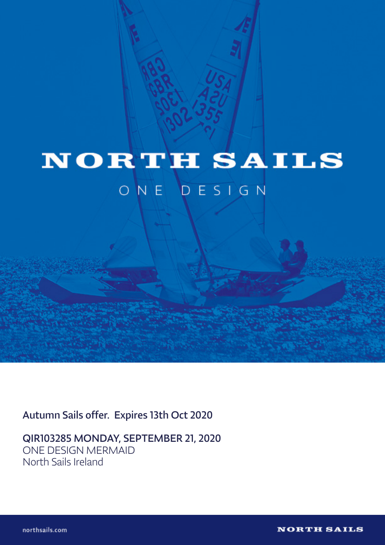

## **NORTH SAILS**

## ONE DESIGN

Autumn Sails offer. Expires 13th Oct 2020

QIR103285 MONDAY, SEPTEMBER 21, 2020 ONE DESIGN MERMAID North Sails Ireland

northsails.com

**NORTH SAILS**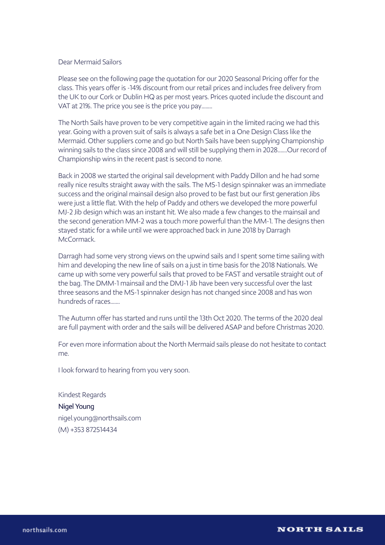## Dear Mermaid Sailors

Please see on the following page the quotation for our 2020 Seasonal Pricing offer for the class. This years offer is -14% discount from our retail prices and includes free delivery from the UK to our Cork or Dublin HQ as per most years. Prices quoted include the discount and VAT at 21%. The price you see is the price you pay........

The North Sails have proven to be very competitive again in the limited racing we had this year. Going with a proven suit of sails is always a safe bet in a One Design Class like the Mermaid. Other suppliers come and go but North Sails have been supplying Championship winning sails to the class since 2008 and will still be supplying them in 2028.......Our record of Championship wins in the recent past is second to none.

Back in 2008 we started the original sail development with Paddy Dillon and he had some really nice results straight away with the sails. The MS-1 design spinnaker was an immediate success and the original mainsail design also proved to be fast but our first generation Jibs were just a little flat. With the help of Paddy and others we developed the more powerful MJ-2 Jib design which was an instant hit. We also made a few changes to the mainsail and the second generation MM-2 was a touch more powerful than the MM-1. The designs then stayed static for a while until we were approached back in June 2018 by Darragh McCormack.

Darragh had some very strong views on the upwind sails and I spent some time sailing with him and developing the new line of sails on a just in time basis for the 2018 Nationals. We came up with some very powerful sails that proved to be FAST and versatile straight out of the bag. The DMM-1 mainsail and the DMJ-1 Jib have been very successful over the last three seasons and the MS-1 spinnaker design has not changed since 2008 and has won hundreds of races.......

The Autumn offer has started and runs until the 13th Oct 2020. The terms of the 2020 deal are full payment with order and the sails will be delivered ASAP and before Christmas 2020.

For even more information about the North Mermaid sails please do not hesitate to contact me.

I look forward to hearing from you very soon.

Kindest Regards Nigel Young nigel.young@northsails.com (M) +353 872514434